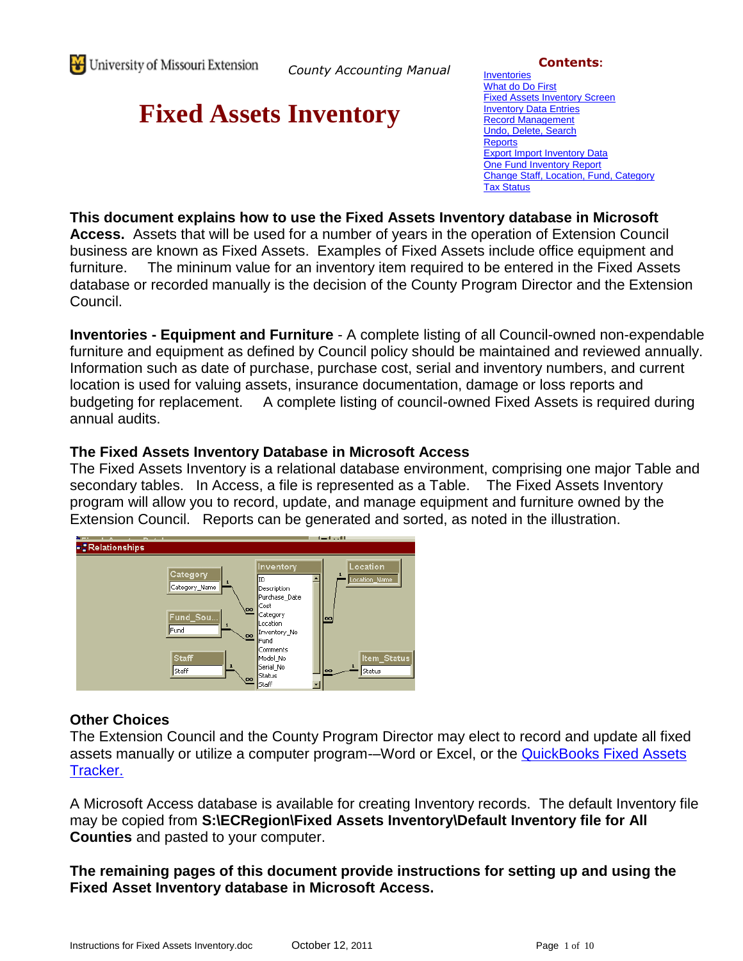*County Accounting Manual*

# **Fixed Assets Inventory**

**Contents:**

**[Inventories](#page-0-0)** [What do Do First](#page-1-0) [Fixed Assets Inventory Screen](#page-5-0) [Inventory Data Entries](#page-6-0) [Record Management](#page-7-0) [Undo, Delete, Search](#page-7-1) **[Reports](#page-7-2)** [Export Import Inventory Data](#page-8-0) One Fund [Inventory Report](#page-8-1) [Change Staff, Location, Fund, Category](#page-8-2) [Tax Status](#page-8-0)

**This document explains how to use the Fixed Assets Inventory database in Microsoft Access.** Assets that will be used for a number of years in the operation of Extension Council business are known as Fixed Assets. Examples of Fixed Assets include office equipment and furniture. The mininum value for an inventory item required to be entered in the Fixed Assets database or recorded manually is the decision of the County Program Director and the Extension Council.

<span id="page-0-0"></span>**Inventories - Equipment and Furniture** - A complete listing of all Council-owned non-expendable furniture and equipment as defined by Council policy should be maintained and reviewed annually. Information such as date of purchase, purchase cost, serial and inventory numbers, and current location is used for valuing assets, insurance documentation, damage or loss reports and budgeting for replacement. A complete listing of council-owned Fixed Assets is required during annual audits.

#### **The Fixed Assets Inventory Database in Microsoft Access**

The Fixed Assets Inventory is a relational database environment, comprising one major Table and secondary tables. In Access, a file is represented as a Table. The Fixed Assets Inventory program will allow you to record, update, and manage equipment and furniture owned by the Extension Council. Reports can be generated and sorted, as noted in the illustration.



#### **Other Choices**

The Extension Council and the County Program Director may elect to record and update all fixed assets manually or utilize a computer program--Word or Excel, or the **QuickBooks Fixed Assets** [Tracker.](http://extension.missouri.edu/acctmanual/assets/FIxed%20Assets%20Tracker%20QB.pdf)

A Microsoft Access database is available for creating Inventory records. The default Inventory file may be copied from **S:\ECRegion\Fixed Assets Inventory\Default Inventory file for All Counties** and pasted to your computer.

**The remaining pages of this document provide instructions for setting up and using the Fixed Asset Inventory database in Microsoft Access.**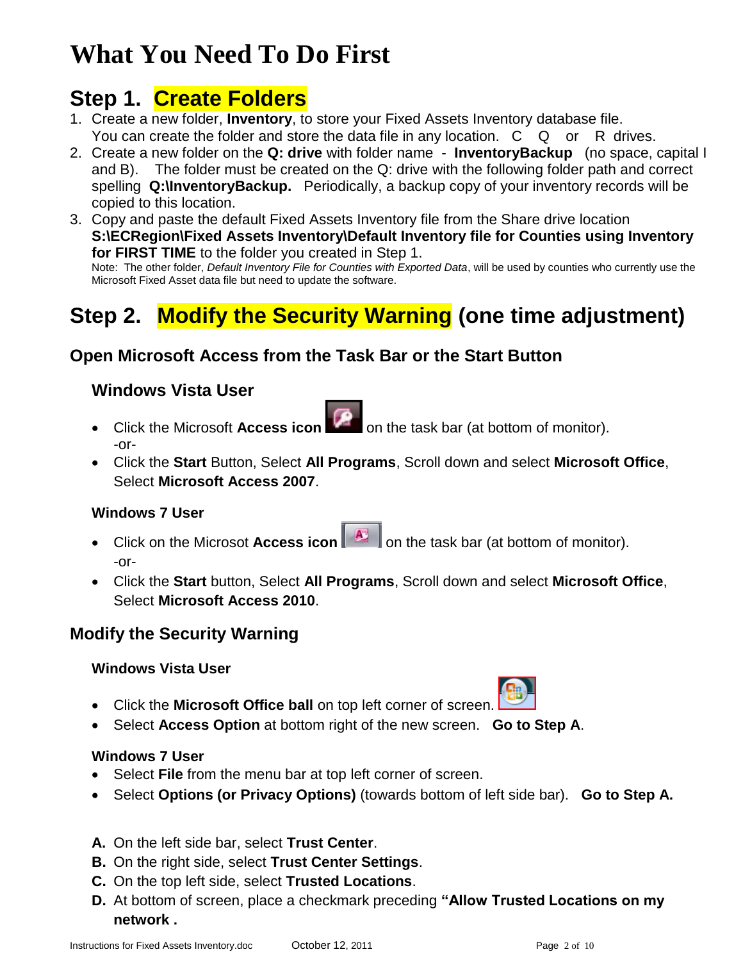# <span id="page-1-0"></span>**What You Need To Do First**

## <span id="page-1-1"></span>**Step 1. Create Folders**

- 1. Create a new folder, **Inventory**, to store your Fixed Assets Inventory database file. You can create the folder and store the data file in any location. C Q or R drives.
- 2. Create a new folder on the **Q: drive** with folder name **InventoryBackup** (no space, capital I and B). The folder must be created on the Q: drive with the following folder path and correct spelling **Q:\InventoryBackup.** Periodically, a backup copy of your inventory records will be copied to this location.
- 3. Copy and paste the default Fixed Assets Inventory file from the Share drive location **S:\ECRegion\Fixed Assets Inventory\Default Inventory file for Counties using Inventory for FIRST TIME** to the folder you created in Step 1.

Note: The other folder, *Default Inventory File for Counties with Exported Data*, will be used by counties who currently use the Microsoft Fixed Asset data file but need to update the software.

# **Step 2. Modify the Security Warning (one time adjustment)**

### **Open Microsoft Access from the Task Bar or the Start Button**

#### **Windows Vista User**

- Click the Microsoft **Access icon Contract the task bar (at bottom of monitor).** -or-
- Click the **Start** Button, Select **All Programs**, Scroll down and select **Microsoft Office**, Select **Microsoft Access 2007**.

#### **Windows 7 User**

- Click on the Microsot **Access icon A** on the task bar (at bottom of monitor). -or-
- Click the **Start** button, Select **All Programs**, Scroll down and select **Microsoft Office**, Select **Microsoft Access 2010**.

### **Modify the Security Warning**

#### **Windows Vista User**

- Click the **Microsoft Office ball** on top left corner of screen.
- Select **Access Option** at bottom right of the new screen. **Go to Step A**.

#### **Windows 7 User**

- Select **File** from the menu bar at top left corner of screen.
- Select **Options (or Privacy Options)** (towards bottom of left side bar). **Go to Step A.**
- **A.** On the left side bar, select **Trust Center**.
- **B.** On the right side, select **Trust Center Settings**.
- **C.** On the top left side, select **Trusted Locations**.
- **D.** At bottom of screen, place a checkmark preceding **"Allow Trusted Locations on my network .**



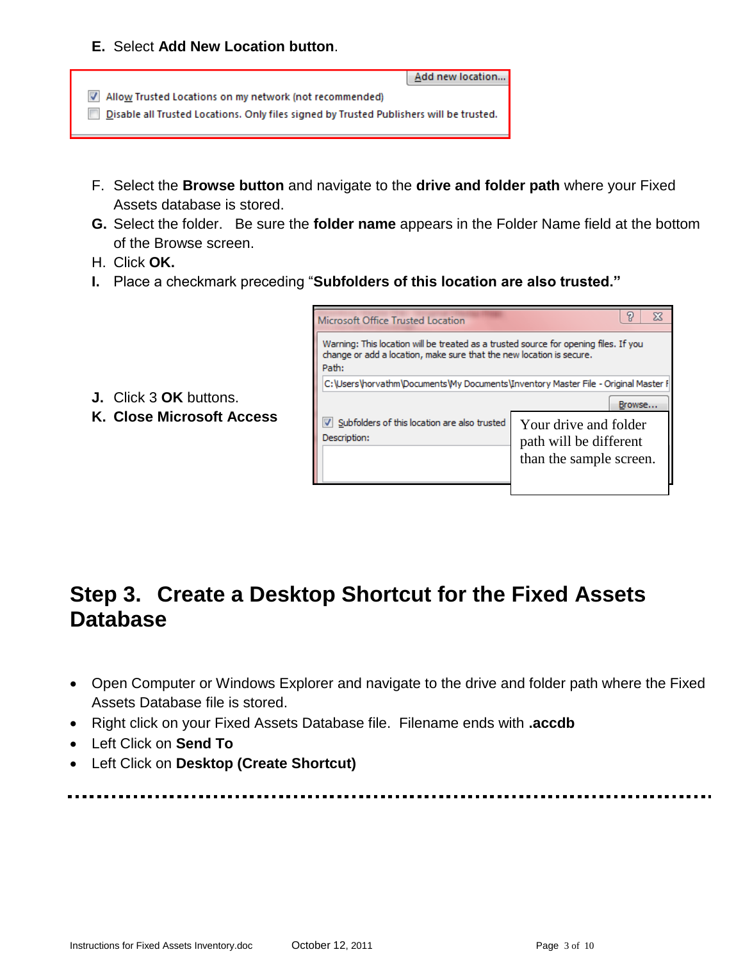#### **E.** Select **Add New Location button**.



- F. Select the **Browse button** and navigate to the **drive and folder path** where your Fixed Assets database is stored.
- **G.** Select the folder. Be sure the **folder name** appears in the Folder Name field at the bottom of the Browse screen.
- H. Click **OK.**
- **I.** Place a checkmark preceding "**Subfolders of this location are also trusted."**



- **J.** Click 3 **OK** buttons.
- **K. Close Microsoft Access**

## **Step 3. Create a Desktop Shortcut for the Fixed Assets Database**

- Open Computer or Windows Explorer and navigate to the drive and folder path where the Fixed Assets Database file is stored.
- Right click on your Fixed Assets Database file. Filename ends with **.accdb**
- Left Click on **Send To**
- Left Click on **Desktop (Create Shortcut)**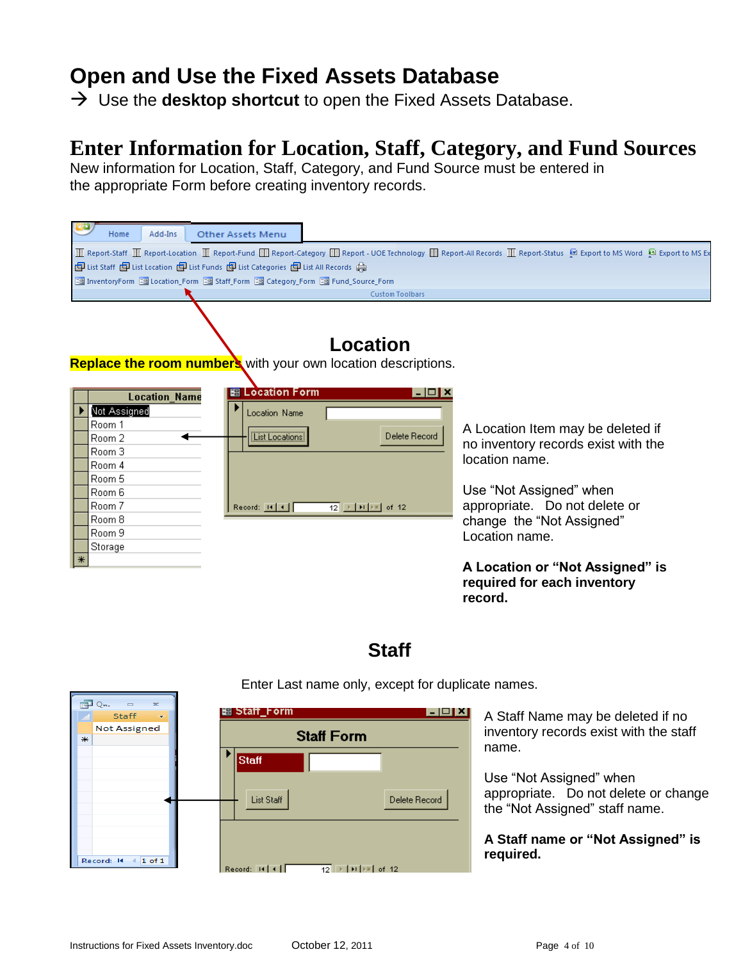## **Open and Use the Fixed Assets Database**

 $\rightarrow$  Use the **desktop shortcut** to open the Fixed Assets Database.

## **Enter Information for Location, Staff, Category, and Fund Sources**

New information for Location, Staff, Category, and Fund Source must be entered in the appropriate Form before creating inventory records.

| Add-Ins<br>Home                                                                                                                                                                                                                                                                                                                                                       | <b>Other Assets Menu</b>                                                  |                                                                                                                 |                                                                                                                                                                                                       |  |
|-----------------------------------------------------------------------------------------------------------------------------------------------------------------------------------------------------------------------------------------------------------------------------------------------------------------------------------------------------------------------|---------------------------------------------------------------------------|-----------------------------------------------------------------------------------------------------------------|-------------------------------------------------------------------------------------------------------------------------------------------------------------------------------------------------------|--|
| ■ Report-Staff ■ Report-Location ■ Report-Fund ■ Report-Category ■ Report- UOE Technology ■ Report-All Records ■ Report-Status ■ Export to MS Word ■ Export to MS Word ■ Export to MS Exp<br>■ List Staff ■ List Location ■ List Funds ■ List Categories ■ List All Records ●<br>Ba InventoryForm Ba Location_Form Ba Staff_Form Ba Category_Form Ba Fund_Source_Form |                                                                           | <b>Custom Toolbars</b>                                                                                          |                                                                                                                                                                                                       |  |
| <b>Replace the room numbers</b> with your own location descriptions.                                                                                                                                                                                                                                                                                                  |                                                                           | Location                                                                                                        |                                                                                                                                                                                                       |  |
| <b>Location_Name</b><br>Not Assigned<br>Room 1<br>Room 2<br>Room 3<br>Room 4<br>Room 5<br>Room 6<br>Room 7<br>Room 8<br>Room 9<br>Storage                                                                                                                                                                                                                             | <b>EB</b> Location Form<br>Location Name<br>List Locations<br>Record: H 4 | l-I⊡I×<br>Delete Record<br>$12$   $\blacktriangleright$   $\blacktriangleright$   $\blacktriangleright$   of 12 | A Location Item may be deleted if<br>no inventory records exist with the<br>location name.<br>Use "Not Assigned" when<br>appropriate. Do not delete or<br>change the "Not Assigned"<br>Location name. |  |
|                                                                                                                                                                                                                                                                                                                                                                       |                                                                           |                                                                                                                 | A Location or "Not Assigned" is<br>required for each inventory                                                                                                                                        |  |

## **Staff**

**record.**



Enter Last name only, except for duplicate names.

A Staff Name may be deleted if no inventory records exist with the staff

Use "Not Assigned" when appropriate. Do not delete or change the "Not Assigned" staff name.

**A Staff name or "Not Assigned" is required.**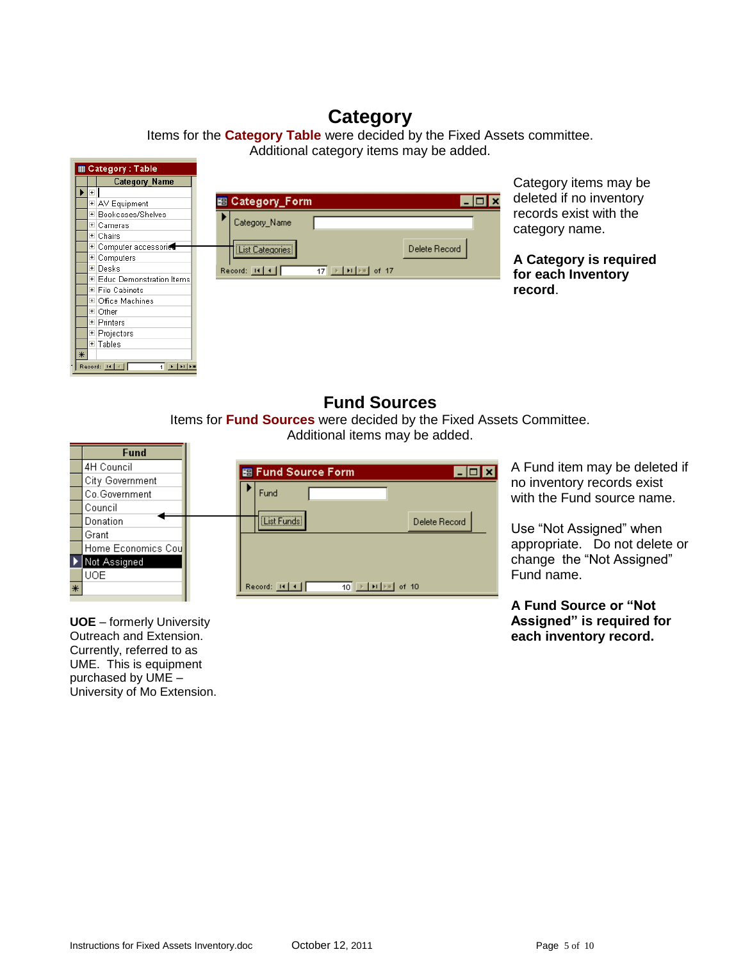## **Category**

Items for the **Category Table** were decided by the Fixed Assets committee. Additional category items may be added.



#### **Fund Sources**

Items for **Fund Sources** were decided by the Fixed Assets Committee. Additional items may be added.



A Fund item may be deleted if no inventory records exist with the Fund source name.

Use "Not Assigned" when appropriate. Do not delete or change the "Not Assigned" Fund name.

**A Fund Source or "Not Assigned" is required for each inventory record.**

**UOE** – formerly University Outreach and Extension. Currently, referred to as UME. This is equipment purchased by UME – University of Mo Extension.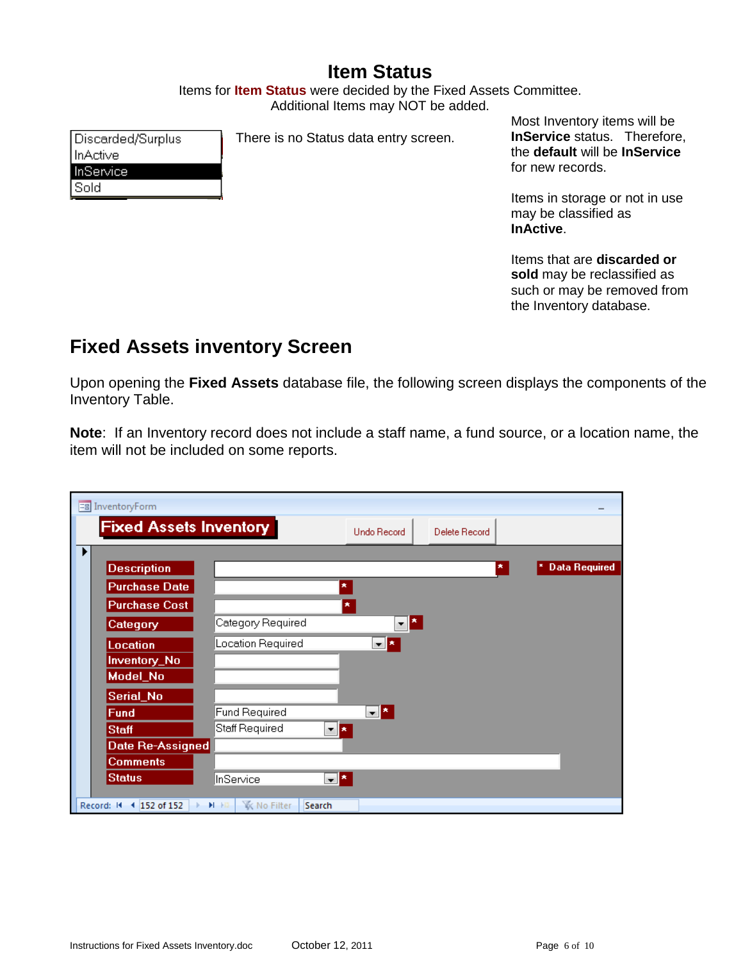## **Item Status**

Items for **Item Status** were decided by the Fixed Assets Committee. Additional Items may NOT be added.

Discarded/Surplus InActive InService Sold

There is no Status data entry screen.

Most Inventory items will be **InService** status. Therefore, the **default** will be **InService** for new records.

Items in storage or not in use may be classified as **InActive**.

Items that are **discarded or sold** may be reclassified as such or may be removed from the Inventory database.

## <span id="page-5-0"></span>**Fixed Assets inventory Screen**

Upon opening the **Fixed Assets** database file, the following screen displays the components of the Inventory Table.

**Note**: If an Inventory record does not include a staff name, a fund source, or a location name, the item will not be included on some reports.

| <b>Fixed Assets Inventory</b><br><b>Undo Record</b><br>Delete Record |
|----------------------------------------------------------------------|
|                                                                      |
| <b>Data Required</b><br>$\pmb{\pi}$                                  |
| $\pmb{\star}$                                                        |
| $\pmb{\times}$                                                       |
| $\mathbf{F}$<br>Category Required                                    |
| Location Required<br>$\mathbf{r}$ $\mathbf{x}$                       |
|                                                                      |
|                                                                      |
|                                                                      |
| $\mathbf{r}$<br><b>Fund Required</b>                                 |
| Staff Required<br>▼∥★                                                |
|                                                                      |
|                                                                      |
| 그의<br>InService                                                      |
| <b>W</b> No Filter<br>H Hi<br>Search                                 |
| Date Re-Assigned                                                     |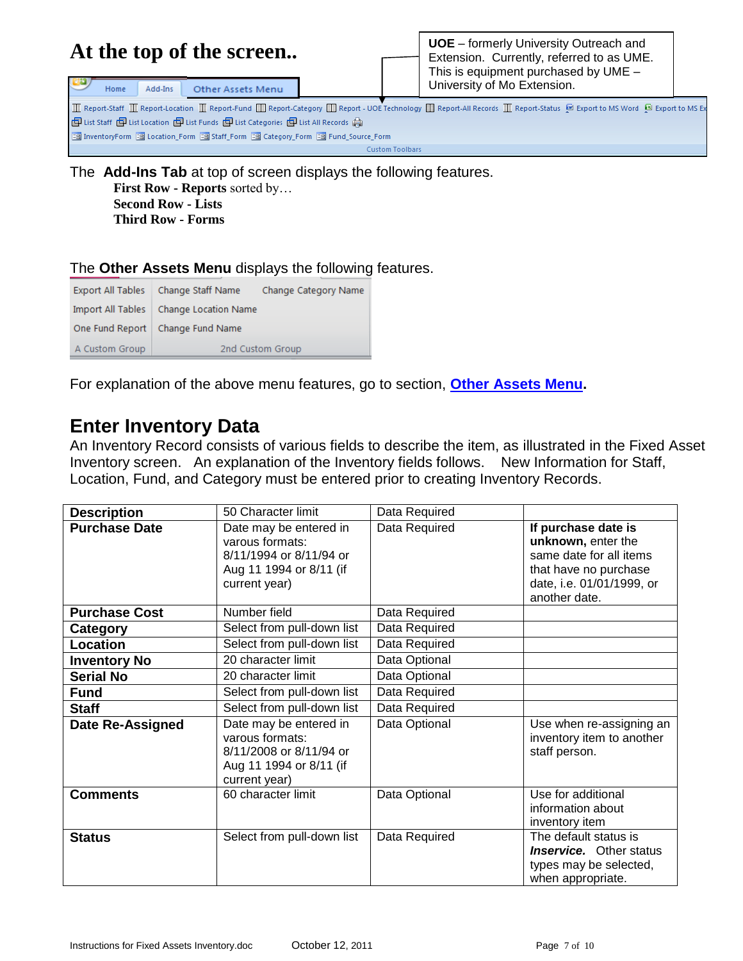|                                                                                                                                                                                                                                                                             |      |         | At the top of the screen                                                               |  |  | <b>UOE</b> – formerly University Outreach and<br>Extension. Currently, referred to as UME.<br>This is equipment purchased by UME - |  |
|-----------------------------------------------------------------------------------------------------------------------------------------------------------------------------------------------------------------------------------------------------------------------------|------|---------|----------------------------------------------------------------------------------------|--|--|------------------------------------------------------------------------------------------------------------------------------------|--|
|                                                                                                                                                                                                                                                                             | Home | Add-Ins | Other Assets Menu                                                                      |  |  | University of Mo Extension.                                                                                                        |  |
| I Report-Staff I Report-Location I Report-Fund I Report-Category I Report-UOE Technology I Report-All Records I Report-Status M Export to MS Word N Export to MS Word N Export to MS Ex<br>■ List Staff 图 List Location 图 List Funds 图 List Categories 图 List All Records ● |      |         |                                                                                        |  |  |                                                                                                                                    |  |
|                                                                                                                                                                                                                                                                             |      |         | <b>B</b> InventoryForm B Location Form B Staff Form B Category Form B Fund Source Form |  |  |                                                                                                                                    |  |

**Custom Toolbars** 

The **Add-Ins Tab** at top of screen displays the following features.

**First Row - Reports** sorted by… **Second Row - Lists Third Row - Forms**

#### The **Other Assets Menu** displays the following features.

|                | Export All Tables   Change Staff Name    | Change Category Name |
|----------------|------------------------------------------|----------------------|
|                | Import All Tables   Change Location Name |                      |
|                | One Fund Report   Change Fund Name       |                      |
| A Custom Group |                                          | 2nd Custom Group     |

For explanation of the above menu features, go to section, **[Other Assets Menu.](#page-8-0)**

## <span id="page-6-0"></span>**Enter Inventory Data**

An Inventory Record consists of various fields to describe the item, as illustrated in the Fixed Asset Inventory screen. An explanation of the Inventory fields follows. New Information for Staff, Location, Fund, and Category must be entered prior to creating Inventory Records.

| <b>Description</b>      | 50 Character limit                                                                                               | Data Required |                                                                                                                                             |
|-------------------------|------------------------------------------------------------------------------------------------------------------|---------------|---------------------------------------------------------------------------------------------------------------------------------------------|
| <b>Purchase Date</b>    | Date may be entered in<br>varous formats:<br>8/11/1994 or 8/11/94 or<br>Aug 11 1994 or 8/11 (if<br>current year) | Data Required | If purchase date is<br>unknown, enter the<br>same date for all items<br>that have no purchase<br>date, i.e. 01/01/1999, or<br>another date. |
| <b>Purchase Cost</b>    | Number field                                                                                                     | Data Required |                                                                                                                                             |
| Category                | Select from pull-down list                                                                                       | Data Required |                                                                                                                                             |
| Location                | Select from pull-down list                                                                                       | Data Required |                                                                                                                                             |
| <b>Inventory No</b>     | 20 character limit                                                                                               | Data Optional |                                                                                                                                             |
| <b>Serial No</b>        | 20 character limit                                                                                               | Data Optional |                                                                                                                                             |
| <b>Fund</b>             | Select from pull-down list                                                                                       | Data Required |                                                                                                                                             |
| <b>Staff</b>            | Select from pull-down list                                                                                       | Data Required |                                                                                                                                             |
| <b>Date Re-Assigned</b> | Date may be entered in<br>varous formats:<br>8/11/2008 or 8/11/94 or<br>Aug 11 1994 or 8/11 (if<br>current year) | Data Optional | Use when re-assigning an<br>inventory item to another<br>staff person.                                                                      |
| <b>Comments</b>         | 60 character limit                                                                                               | Data Optional | Use for additional<br>information about<br>inventory item                                                                                   |
| <b>Status</b>           | Select from pull-down list                                                                                       | Data Required | The default status is<br><i><b>Inservice.</b></i> Other status<br>types may be selected,<br>when appropriate.                               |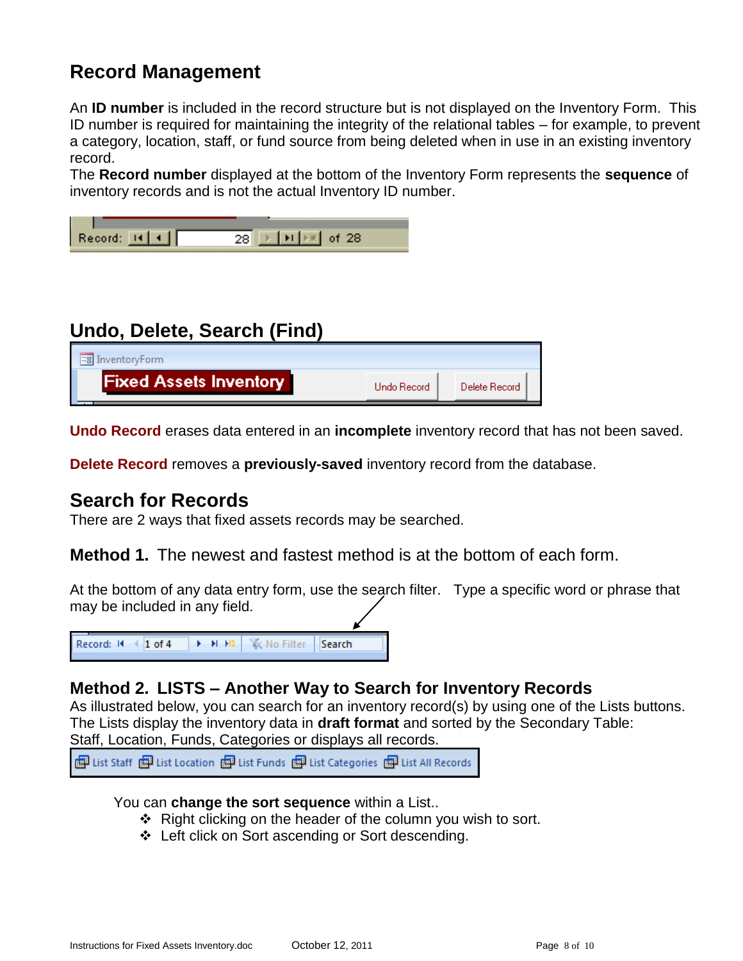## <span id="page-7-0"></span>**Record Management**

An **ID number** is included in the record structure but is not displayed on the Inventory Form. This ID number is required for maintaining the integrity of the relational tables – for example, to prevent a category, location, staff, or fund source from being deleted when in use in an existing inventory record.

The **Record number** displayed at the bottom of the Inventory Form represents the **sequence** of inventory records and is not the actual Inventory ID number.

| $Record:$ $R$ $\rightarrow$ |  |  |
|-----------------------------|--|--|

## <span id="page-7-1"></span>**Undo, Delete, Search (Find)**

| <b>EB</b> InventoryForm       |              |               |
|-------------------------------|--------------|---------------|
| <b>Fixed Assets Inventory</b> | Lindo Record | Delete Record |

**Undo Record** erases data entered in an **incomplete** inventory record that has not been saved.

**Delete Record** removes a **previously-saved** inventory record from the database.

#### **Search for Records**

There are 2 ways that fixed assets records may be searched.

**Method 1.** The newest and fastest method is at the bottom of each form.

At the bottom of any data entry form, use the search filter. Type a specific word or phrase that may be included in any field.

Record: II 4 1 of 4 ▶ ▶ ▶ ▶ ▶ | ۞ No Filter Search

#### **Method 2. LISTS – Another Way to Search for Inventory Records**

As illustrated below, you can search for an inventory record(s) by using one of the Lists buttons. The Lists display the inventory data in **draft format** and sorted by the Secondary Table: Staff, Location, Funds, Categories or displays all records.

图 List Staff 图 List Location 图 List Funds 图 List Categories 图 List All Records

#### You can **change the sort sequence** within a List..

- $\div$  Right clicking on the header of the column you wish to sort.
- <span id="page-7-2"></span>Left click on Sort ascending or Sort descending.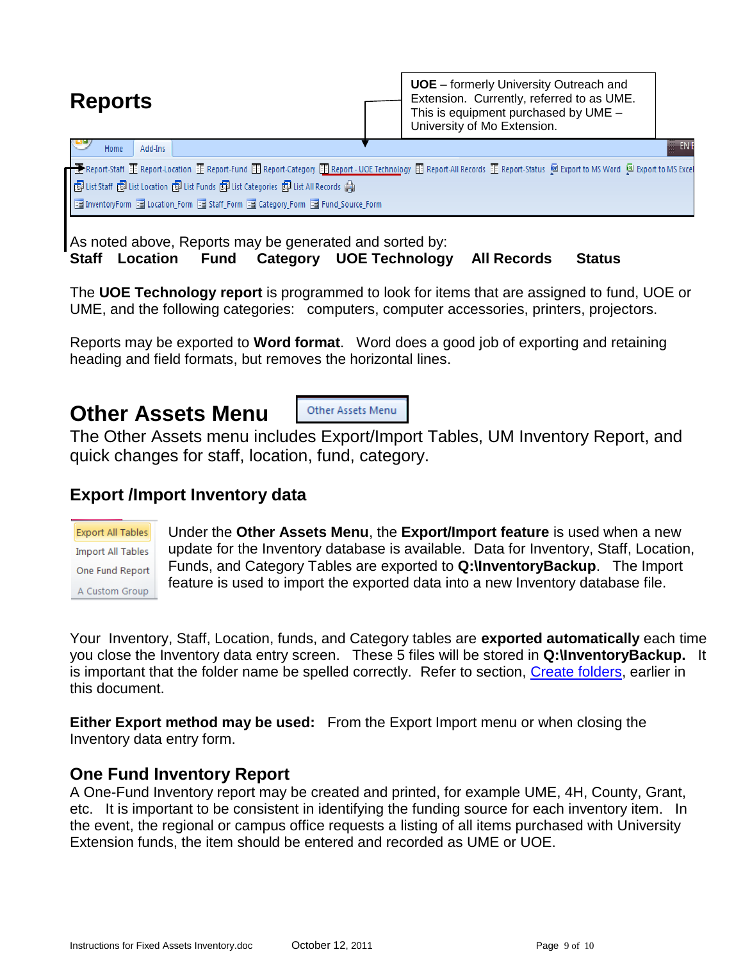| <b>Reports</b>                                                                                                                                                                                                                                                                                                                                   | <b>UOE</b> – formerly University Outreach and<br>Extension. Currently, referred to as UME.<br>This is equipment purchased by UME -<br>University of Mo Extension. |           |
|--------------------------------------------------------------------------------------------------------------------------------------------------------------------------------------------------------------------------------------------------------------------------------------------------------------------------------------------------|-------------------------------------------------------------------------------------------------------------------------------------------------------------------|-----------|
| Add-Ins<br>Home                                                                                                                                                                                                                                                                                                                                  |                                                                                                                                                                   | <b>EN</b> |
| ├ॾ Report-Staff 重 Report-Location 重 Report-Fund ■ Report-Category ■ Report - UOE Technology ■ Report-All Records 重 Report-Status ■ Export to MS Word ■ Export to MS Excel<br>■ List Staff ■ List Location ■ List Funds ■ List Categories ■ List All Records ●<br>图 InventoryForm 图 Location_Form 图 Staff_Form 图 Category_Form 图 Fund_Source_Form |                                                                                                                                                                   |           |

As noted above, Reports may be generated and sorted by: **Staff Location Fund Category UOE Technology All Records Status**

The **UOE Technology report** is programmed to look for items that are assigned to fund, UOE or UME, and the following categories: computers, computer accessories, printers, projectors.

Reports may be exported to **Word format**. Word does a good job of exporting and retaining heading and field formats, but removes the horizontal lines.

## <span id="page-8-0"></span>**Other Assets Menu**

Other Assets Menu

The Other Assets menu includes Export/Import Tables, UM Inventory Report, and quick changes for staff, location, fund, category.

### **Export /Import Inventory data**

**Export All Tables Import All Tables** One Fund Report A Custom Group

Under the **Other Assets Menu**, the **Export/Import feature** is used when a new update for the Inventory database is available. Data for Inventory, Staff, Location, Funds, and Category Tables are exported to **Q:\InventoryBackup**. The Import feature is used to import the exported data into a new Inventory database file.

Your Inventory, Staff, Location, funds, and Category tables are **exported automatically** each time you close the Inventory data entry screen. These 5 files will be stored in **Q:\InventoryBackup.** It is important that the folder name be spelled correctly. Refer to section, [Create folders,](#page-1-1) earlier in this document.

**Either Export method may be used:** From the Export Import menu or when closing the Inventory data entry form.

#### <span id="page-8-1"></span>**One Fund Inventory Report**

<span id="page-8-2"></span>A One-Fund Inventory report may be created and printed, for example UME, 4H, County, Grant, etc. It is important to be consistent in identifying the funding source for each inventory item. In the event, the regional or campus office requests a listing of all items purchased with University Extension funds, the item should be entered and recorded as UME or UOE.